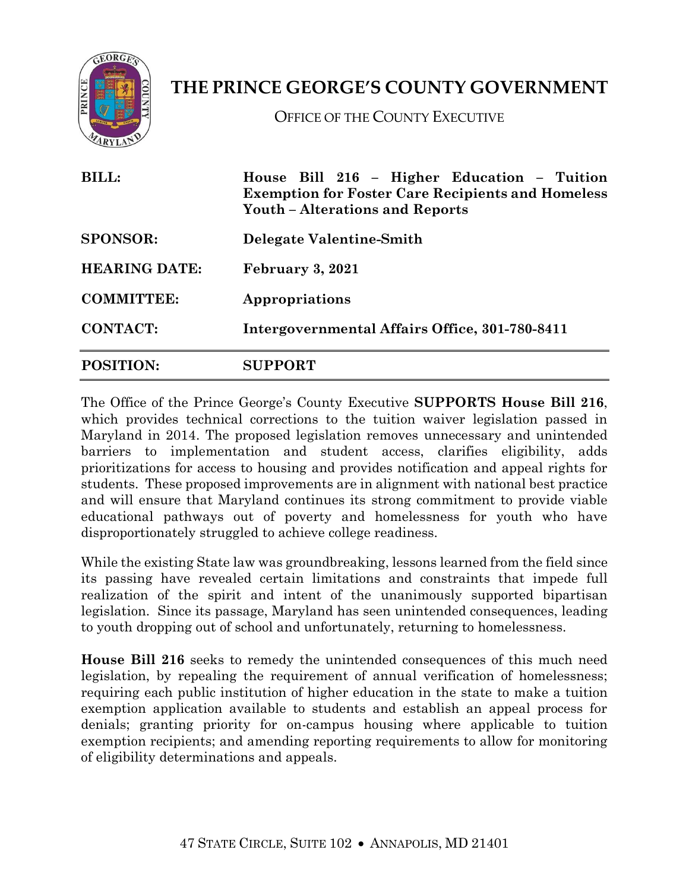

## **THE PRINCE GEORGE'S COUNTY GOVERNMENT**

OFFICE OF THE COUNTY EXECUTIVE

| <b>BILL:</b><br><b>SPONSOR:</b><br><b>HEARING DATE:</b><br><b>COMMITTEE:</b> | House Bill 216 - Higher Education - Tuition<br><b>Exemption for Foster Care Recipients and Homeless</b><br><b>Youth – Alterations and Reports</b><br>Delegate Valentine-Smith<br>February 3, 2021<br>Appropriations |                  |                                                |
|------------------------------------------------------------------------------|---------------------------------------------------------------------------------------------------------------------------------------------------------------------------------------------------------------------|------------------|------------------------------------------------|
|                                                                              |                                                                                                                                                                                                                     | <b>CONTACT:</b>  | Intergovernmental Affairs Office, 301-780-8411 |
|                                                                              |                                                                                                                                                                                                                     | <b>POSITION:</b> | <b>SUPPORT</b>                                 |

The Office of the Prince George's County Executive **SUPPORTS House Bill 216**, which provides technical corrections to the tuition waiver legislation passed in Maryland in 2014. The proposed legislation removes unnecessary and unintended barriers to implementation and student access, clarifies eligibility, adds prioritizations for access to housing and provides notification and appeal rights for students. These proposed improvements are in alignment with national best practice and will ensure that Maryland continues its strong commitment to provide viable educational pathways out of poverty and homelessness for youth who have disproportionately struggled to achieve college readiness.

While the existing State law was groundbreaking, lessons learned from the field since its passing have revealed certain limitations and constraints that impede full realization of the spirit and intent of the unanimously supported bipartisan legislation. Since its passage, Maryland has seen unintended consequences, leading to youth dropping out of school and unfortunately, returning to homelessness.

**House Bill 216** seeks to remedy the unintended consequences of this much need legislation, by repealing the requirement of annual verification of homelessness; requiring each public institution of higher education in the state to make a tuition exemption application available to students and establish an appeal process for denials; granting priority for on-campus housing where applicable to tuition exemption recipients; and amending reporting requirements to allow for monitoring of eligibility determinations and appeals.